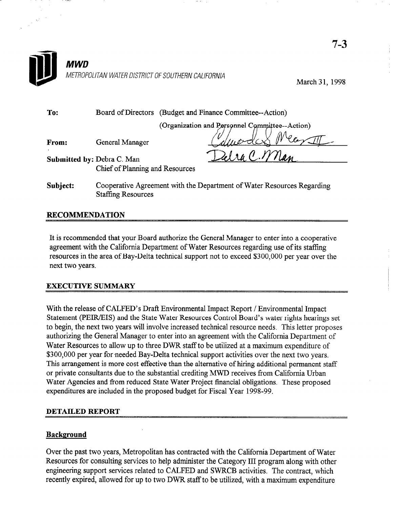

March 31, 1998

| To:<br>Board of Directors (Budget and Finance Committee--Action) |  |
|------------------------------------------------------------------|--|
|------------------------------------------------------------------|--|

(Organization and Personnel Committee--Action)

From: General Manager

Submitted by: Debra C. Man Chief of Planning and Resources

Subject: Cooperative Agreement with the Department of Water Resources Regarding Staffing Resources

# RECOMMENDATION

It is recommended that your Board authorize the General Manager to enter into a cooperative agreement with the California Department of Water Resources regarding use of its staffing resources in the area of Bay-Delta technical support not to exceed \$300,000 per year over the next two years.

## EXECUTIVE SUMMARY

With the release of CALFED's Draft Environmental Impact Report / Environmental Impact Statement (PEIR/EIS) and the State Water Resources Control Board's water rights hearings set to begin, the next two years will involve increased technical resource needs. This letter proposes authorizing the General Manager to enter into an agreement with the California Department of Water Resources to allow up to three DWR staff to be utilized at a maximum expenditure of \$300,000 per year for needed Bay-Delta technical support activities over the next two years. This arrangement is more cost effective than the alternative of hiring additional permanent staff or private consultants due to the substantial crediting MWD receives from California Urban Water Agencies and from reduced State Water Project financial obligations. These proposed expenditures are included in the proposed budget for Fiscal Year 1998-99.

#### DETAILED REPORT

## Background

Over the past two years, Metropolitan has contracted with the California Department of Water Resources for consulting services to help administer the Category III program along with other engineering support services related to CALFED and SWRCB activities. The contract, which recently expired, allowed for up to two DWR staff to be utilized, with a maximum expenditure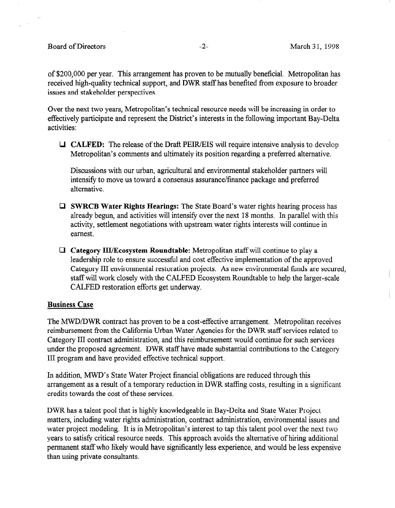أتعر

of \$200,000 per year. This arrangement has proven to be mutually beneficial. Metropolitan has received high-quality technical support, and DWR staff has benefited from exposure to broader issues and stakeholder perspectives.

Over the next two years, Metropolitan's technical resource needs will be increasing in order to effectively participate and represent the District's interests in the following important Bay-Delta activities:

 $\Box$  **CALFED:** The release of the Draft PEIR/EIS will require intensive analysis to develop Metropolitan's comments and ultimately its position regarding a preferred alternative.

Discussions with our urban, agricultural and environmental stakeholder partners will intensify to move us toward a consensus assurance/finance package and preferred alternative.

- $\Box$  SWRCB Water Rights Hearings: The State Board's water rights hearing process has already begun, and activities will intensify over the next 18 months. In parallel with this activity, settlement negotiations with upstream water rights interests will continue in earnest.
- $\Box$  Category III/Ecosystem Roundtable: Metropolitan staff will continue to play a leadership role to ensure successful and cost effective implementation of the approved Category III environmental restoration projects. As new environmental funds are secured, category in environmental restoration projects. Tis new environmental tunes are seem Statt will work closely with the CALTED L

#### Business Case

The MWDLDWR contract has proven to be a cost-effective arrangement. Metropolitan receives The MWD/DWK contract has proven to be a cost-effective arrangement. Metropolitan receives reimbursement from the California Urban Water Agencies for the DWR staff services related to Category III contract administration, and this reimbursement would continue for such services under the proposed agreement. DWR staff have made substantial contributions to the Category III program and have provided effective technical support.

In addition, MWD's State Water Project financial obligations are reduced through this arrangement as a result of a temporary reduction in DWR staffing costs, resulting in a significant credits towards the cost of these services.

DWR has a talent pool that is highly knowledgeable in Bay-Delta and State Water Project matters, including water rights administration, contract administration, environmental issues and water project modeling. It is in Metropolitan's interest to tap this talent pool over the next two years to satisfy critical resource needs. This approach avoids the alternative of hiring additional permanent staff who likely would have significantly less experience, and would be less expensive than using private consultants.